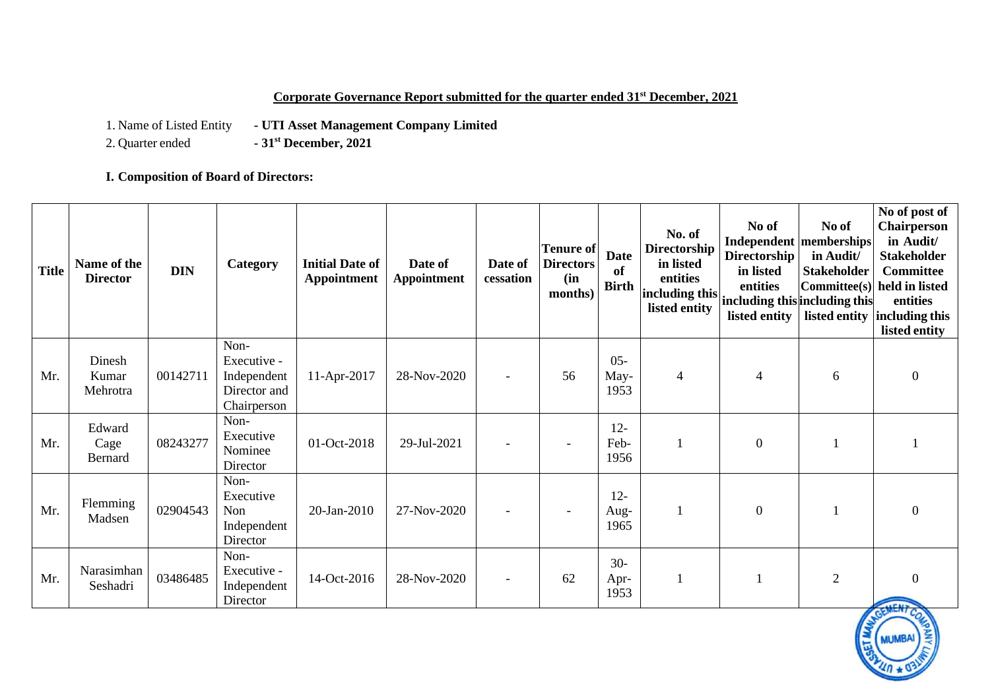#### **Corporate Governance Report submitted for the quarter ended 31st December, 2021**

1. Name of Listed Entity **- UTI Asset Management Company Limited**<br>2. Quarter ended **- 31<sup>st</sup> December, 2021** 

2. Quarter ended **- 31st December, 2021**

**I. Composition of Board of Directors:**

| <b>Title</b> | Name of the<br><b>Director</b>   | <b>DIN</b> | Category                                                          | <b>Initial Date of</b><br>Appointment | Date of<br><b>Appointment</b> | Date of<br>cessation     | <b>Tenure of</b><br><b>Directors</b><br>(in<br>months) | <b>Date</b><br>of<br><b>Birth</b> | No. of<br><b>Directorship</b><br>in listed<br>entities<br>including this including this including this<br>listed entity | No of<br>Independent memberships<br><b>Directorship</b><br>in listed<br>entities<br>listed entity | No of<br>in Audit/<br><b>Stakeholder</b><br>Committee(s) | No of post of<br><b>Chairperson</b><br>in Audit/<br><b>Stakeholder</b><br><b>Committee</b><br>held in listed<br>entities<br>listed entity including this<br>listed entity |
|--------------|----------------------------------|------------|-------------------------------------------------------------------|---------------------------------------|-------------------------------|--------------------------|--------------------------------------------------------|-----------------------------------|-------------------------------------------------------------------------------------------------------------------------|---------------------------------------------------------------------------------------------------|----------------------------------------------------------|---------------------------------------------------------------------------------------------------------------------------------------------------------------------------|
| Mr.          | Dinesh<br>Kumar<br>Mehrotra      | 00142711   | Non-<br>Executive -<br>Independent<br>Director and<br>Chairperson | 11-Apr-2017                           | 28-Nov-2020                   | $\overline{\phantom{a}}$ | 56                                                     | $05 -$<br>May-<br>1953            | 4                                                                                                                       | $\overline{4}$                                                                                    | 6                                                        | $\overline{0}$                                                                                                                                                            |
| Mr.          | Edward<br>Cage<br><b>Bernard</b> | 08243277   | Non-<br>Executive<br>Nominee<br>Director                          | 01-Oct-2018                           | 29-Jul-2021                   |                          | $\overline{\phantom{a}}$                               | $12 -$<br>Feb-<br>1956            | $\mathbf{1}$                                                                                                            | $\overline{0}$                                                                                    |                                                          |                                                                                                                                                                           |
| Mr.          | Flemming<br>Madsen               | 02904543   | Non-<br>Executive<br>Non<br>Independent<br>Director               | $20$ -Jan- $2010$                     | 27-Nov-2020                   | $\overline{\phantom{a}}$ | $\overline{\phantom{a}}$                               | $12 -$<br>Aug-<br>1965            | 1                                                                                                                       | $\mathbf{0}$                                                                                      |                                                          | $\theta$                                                                                                                                                                  |
| Mr.          | Narasimhan<br>Seshadri           | 03486485   | Non-<br>Executive -<br>Independent<br>Director                    | 14-Oct-2016                           | 28-Nov-2020                   | $\overline{\phantom{a}}$ | 62                                                     | $30-$<br>Apr-<br>1953             | 1                                                                                                                       |                                                                                                   | $\mathbf{2}$                                             | $\Omega$<br><b>ACAIS</b>                                                                                                                                                  |

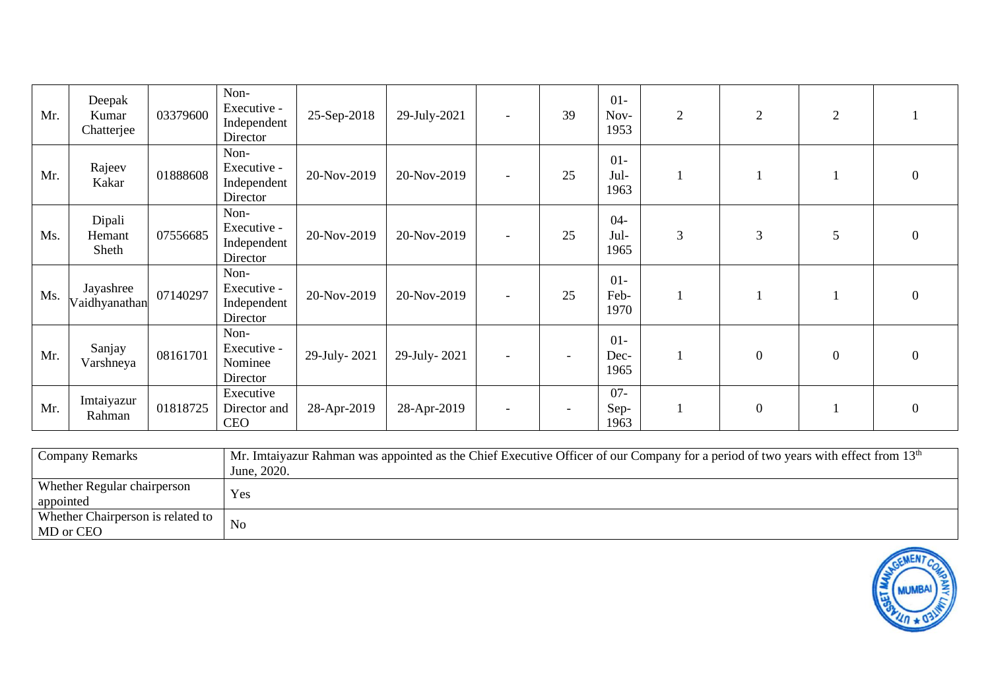| Mr. | Deepak<br>Kumar<br>Chatterjee | 03379600 | Non-<br>Executive -<br>Independent<br>Director | 25-Sep-2018  | 29-July-2021 | $\overline{\phantom{a}}$ | 39 | $01-$<br>Nov-<br>1953  | $\overline{2}$ | 2                | $\overline{2}$   |                |
|-----|-------------------------------|----------|------------------------------------------------|--------------|--------------|--------------------------|----|------------------------|----------------|------------------|------------------|----------------|
| Mr. | Rajeev<br>Kakar               | 01888608 | Non-<br>Executive -<br>Independent<br>Director | 20-Nov-2019  | 20-Nov-2019  | $\overline{\phantom{a}}$ | 25 | $01-$<br>Jul-<br>1963  |                |                  |                  | $\mathbf{0}$   |
| Ms. | Dipali<br>Hemant<br>Sheth     | 07556685 | Non-<br>Executive -<br>Independent<br>Director | 20-Nov-2019  | 20-Nov-2019  | $\overline{\phantom{a}}$ | 25 | $04-$<br>Jul-<br>1965  | $\mathfrak{Z}$ | 3                | 5                | $\overline{0}$ |
| Ms. | Jayashree<br>Vaidhyanathan    | 07140297 | Non-<br>Executive -<br>Independent<br>Director | 20-Nov-2019  | 20-Nov-2019  | $\overline{\phantom{a}}$ | 25 | $01-$<br>Feb-<br>1970  |                |                  |                  | $\overline{0}$ |
| Mr. | Sanjay<br>Varshneya           | 08161701 | Non-<br>Executive -<br>Nominee<br>Director     | 29-July-2021 | 29-July-2021 | $\overline{\phantom{a}}$ |    | $01-$<br>Dec-<br>1965  |                | $\boldsymbol{0}$ | $\boldsymbol{0}$ | $\mathbf{0}$   |
| Mr. | Imtaiyazur<br>Rahman          | 01818725 | Executive<br>Director and<br><b>CEO</b>        | 28-Apr-2019  | 28-Apr-2019  | $\overline{\phantom{0}}$ |    | $07 -$<br>Sep-<br>1963 |                | $\boldsymbol{0}$ |                  | $\overline{0}$ |

| Company Remarks                                | Mr. Imtaiyazur Rahman was appointed as the Chief Executive Officer of our Company for a period of two years with effect from 13 <sup>th</sup> |
|------------------------------------------------|-----------------------------------------------------------------------------------------------------------------------------------------------|
|                                                | June, 2020.                                                                                                                                   |
| Whether Regular chairperson<br>appointed       | Yes                                                                                                                                           |
| Whether Chairperson is related to<br>MD or CEO | <b>No</b>                                                                                                                                     |

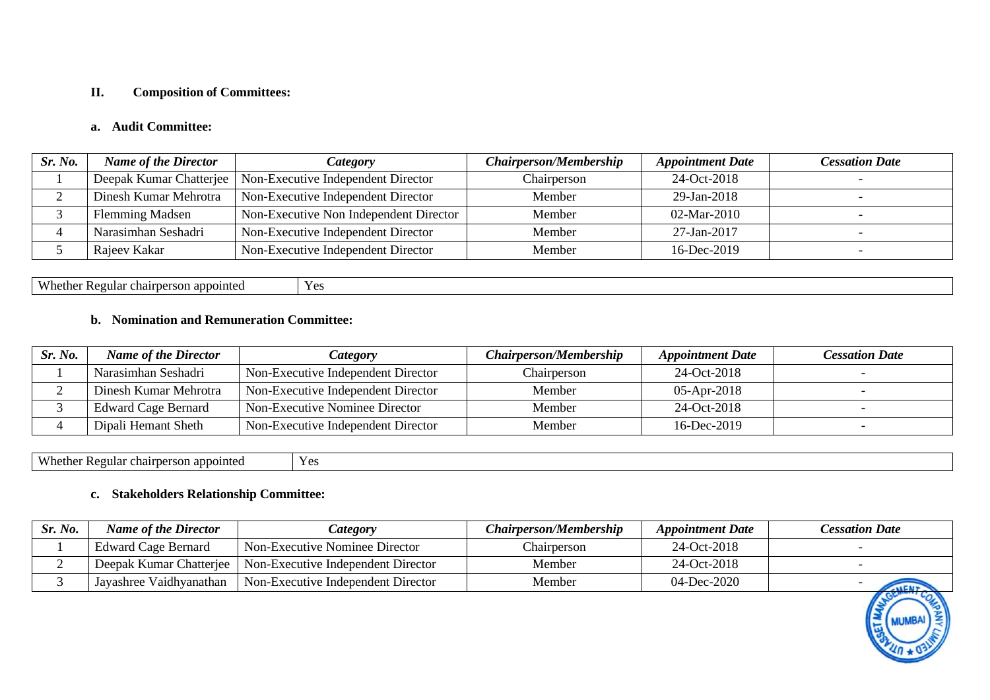#### **II. Composition of Committees:**

### **a. Audit Committee:**

| Sr. No. | <b>Name of the Director</b> | <i>Category</i>                                              | <b>Chairperson/Membership</b> | <b>Appointment Date</b> | <b>Cessation Date</b> |
|---------|-----------------------------|--------------------------------------------------------------|-------------------------------|-------------------------|-----------------------|
|         |                             | Deepak Kumar Chatterjee   Non-Executive Independent Director | Chairperson                   | 24-Oct-2018             |                       |
|         | Dinesh Kumar Mehrotra       | Non-Executive Independent Director                           | Member                        | 29-Jan-2018             |                       |
|         | <b>Flemming Madsen</b>      | Non-Executive Non Independent Director                       | Member                        | $02$ -Mar-2010          |                       |
|         | Narasimhan Seshadri         | Non-Executive Independent Director                           | Member                        | $27 - Jan - 2017$       |                       |
|         | Rajeev Kakar                | Non-Executive Independent Director                           | Member                        | 16-Dec-2019             |                       |

Whether Regular chairperson appointed Yes

# **b. Nomination and Remuneration Committee:**

| Sr. No. | <b>Name of the Director</b> | <b>Category</b>                    | <b>Chairperson/Membership</b> | <b>Appointment Date</b> | Cessation Date |
|---------|-----------------------------|------------------------------------|-------------------------------|-------------------------|----------------|
|         | Narasimhan Seshadri         | Non-Executive Independent Director | Chairperson                   | 24-Oct-2018             |                |
|         | Dinesh Kumar Mehrotra       | Non-Executive Independent Director | Member                        | $05$ -Apr-2018          |                |
|         | <b>Edward Cage Bernard</b>  | Non-Executive Nominee Director     | Member                        | 24-Oct-2018             |                |
|         | Dipali Hemant Sheth         | Non-Executive Independent Director | Member                        | 16-Dec-2019             |                |

Whether Regular chairperson appointed Yes

#### **c. Stakeholders Relationship Committee:**

| Sr. No. | <b>Name of the Director</b> | <i>Category</i>                                              | <b>Chairperson/Membership</b> | <b>Appointment Date</b> | <b>Cessation Date</b>                                                                                      |
|---------|-----------------------------|--------------------------------------------------------------|-------------------------------|-------------------------|------------------------------------------------------------------------------------------------------------|
|         | <b>Edward Cage Bernard</b>  | Non-Executive Nominee Director                               | Chairperson                   | 24-Oct-2018             |                                                                                                            |
|         |                             | Deepak Kumar Chatterjee   Non-Executive Independent Director | Member                        | 24-Oct-2018             |                                                                                                            |
|         | Jayashree Vaidhyanathan     | Non-Executive Independent Director                           | Member                        | $04$ -Dec-2020          | <b>LALEN</b><br>$\overline{a}$ and $\overline{a}$ and $\overline{a}$ and $\overline{a}$ and $\overline{a}$ |

**MUMBA**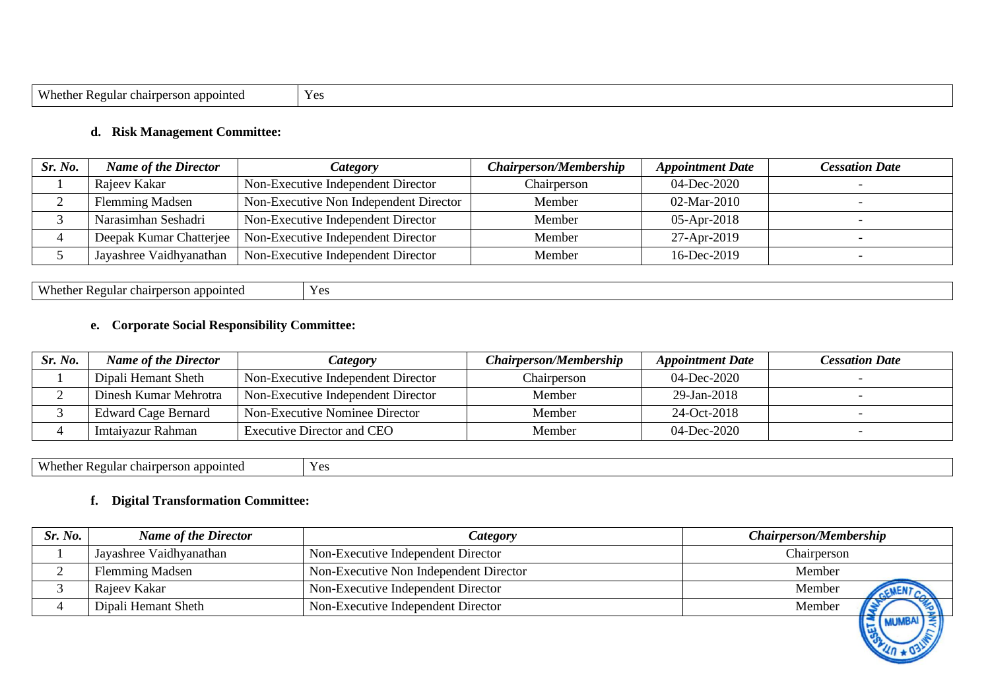| Whethe<br>rular<br>a appointer.<br>chairperson<br>. . | $\mathbf{v}$<br>. J<br>--- |
|-------------------------------------------------------|----------------------------|

#### **d. Risk Management Committee:**

| Sr. No. | <b>Name of the Director</b> | <i>Category</i>                        | <b>Chairperson/Membership</b> | <b>Appointment Date</b> | <b>Cessation Date</b> |
|---------|-----------------------------|----------------------------------------|-------------------------------|-------------------------|-----------------------|
|         | Rajeev Kakar                | Non-Executive Independent Director     | Chairperson                   | 04-Dec-2020             |                       |
|         | <b>Flemming Madsen</b>      | Non-Executive Non Independent Director | Member                        | $02$ -Mar-2010          |                       |
|         | Narasimhan Seshadri         | Non-Executive Independent Director     | Member                        | $05-Apr-2018$           |                       |
|         | Deepak Kumar Chatterjee     | Non-Executive Independent Director     | Member                        | 27-Apr-2019             |                       |
|         | Jayashree Vaidhyanathan     | Non-Executive Independent Director     | Member                        | 16-Dec-2019             |                       |

| Whether.<br>appointed<br>$\sim$<br>tegular<br>ournarc<br>$\sim$<br>.<br>. | $Y \sim$<br>工业 |
|---------------------------------------------------------------------------|----------------|
|---------------------------------------------------------------------------|----------------|

# **e. Corporate Social Responsibility Committee:**

| Sr. No. | <b>Name of the Director</b> | Category                           | <b>Chairperson/Membership</b> | <b>Appointment Date</b> | Cessation Date |
|---------|-----------------------------|------------------------------------|-------------------------------|-------------------------|----------------|
|         | Dipali Hemant Sheth         | Non-Executive Independent Director | Chairperson                   | 04-Dec-2020             |                |
|         | Dinesh Kumar Mehrotra       | Non-Executive Independent Director | Member                        | 29-Jan-2018             |                |
|         | <b>Edward Cage Bernard</b>  | Non-Executive Nominee Director     | Member                        | 24-Oct-2018             |                |
|         | Imtaiyazur Rahman           | Executive Director and CEO         | Member                        | $04$ -Dec-2020          |                |

Whether Regular chairperson appointed Yes

### **f. Digital Transformation Committee:**

| Sr. No. | <b>Name of the Director</b> | <b>Category</b>                        | <b>Chairperson/Membership</b> |
|---------|-----------------------------|----------------------------------------|-------------------------------|
|         | Jayashree Vaidhyanathan     | Non-Executive Independent Director     | Chairperson                   |
|         | <b>Flemming Madsen</b>      | Non-Executive Non Independent Director | Member                        |
|         | Rajeev Kakar                | Non-Executive Independent Director     | Member                        |
|         | Dipali Hemant Sheth         | Non-Executive Independent Director     | Member                        |
|         |                             |                                        | (堂)                           |

 $\frac{1}{40}$  \* 0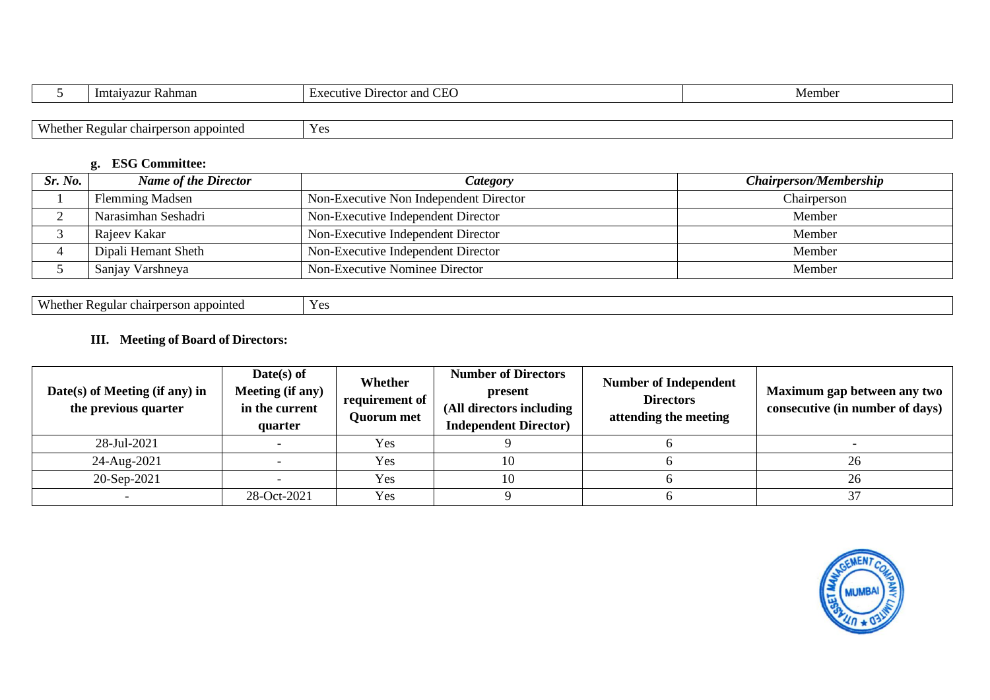| Imtaiyazur<br>Rahman | $\sim$<br>Director<br>and<br>eutiv<br>$\overline{ }$<br>$\sim$ | Membe |
|----------------------|----------------------------------------------------------------|-------|
|                      |                                                                |       |

| $X^T$<br>$V \alpha c$<br>- -<br>egular<br>i appointed<br>$\sim$ 44 $\sim$ 44<br>$\sim$ $\sim$ $\sim$<br>tne.<br>пламы<br>. .<br>$\mathbf{N}$<br>пан<br><b>IVI</b> |  |
|-------------------------------------------------------------------------------------------------------------------------------------------------------------------|--|
|-------------------------------------------------------------------------------------------------------------------------------------------------------------------|--|

# **g. ESG Committee:**

| Sr. No. | <b>Name of the Director</b> | Category                               | <b>Chairperson/Membership</b> |
|---------|-----------------------------|----------------------------------------|-------------------------------|
|         | <b>Flemming Madsen</b>      | Non-Executive Non Independent Director | Chairperson                   |
|         | Narasimhan Seshadri         | Non-Executive Independent Director     | Member                        |
|         | Rajeev Kakar                | Non-Executive Independent Director     | Member                        |
|         | Dipali Hemant Sheth         | Non-Executive Independent Director     | Member                        |
|         | Sanjay Varshneya            | Non-Executive Nominee Director         | Member                        |

Whether Regular chairperson appointed Yes

# **III. Meeting of Board of Directors:**

| Date(s) of Meeting (if any) in<br>the previous quarter | $Date(s)$ of<br>Meeting (if any)<br>in the current<br>quarter | Whether<br>requirement of<br><b>Quorum met</b> | <b>Number of Directors</b><br>present<br>(All directors including<br><b>Independent Director</b> ) | <b>Number of Independent</b><br><b>Directors</b><br>attending the meeting | Maximum gap between any two<br>consecutive (in number of days) |
|--------------------------------------------------------|---------------------------------------------------------------|------------------------------------------------|----------------------------------------------------------------------------------------------------|---------------------------------------------------------------------------|----------------------------------------------------------------|
| 28-Jul-2021                                            |                                                               | Yes                                            |                                                                                                    |                                                                           |                                                                |
| 24-Aug-2021                                            |                                                               | Yes                                            | 10                                                                                                 |                                                                           | 26                                                             |
| 20-Sep-2021                                            |                                                               | Yes                                            | 10                                                                                                 |                                                                           | 26                                                             |
|                                                        | 28-Oct-2021                                                   | Yes                                            |                                                                                                    |                                                                           |                                                                |

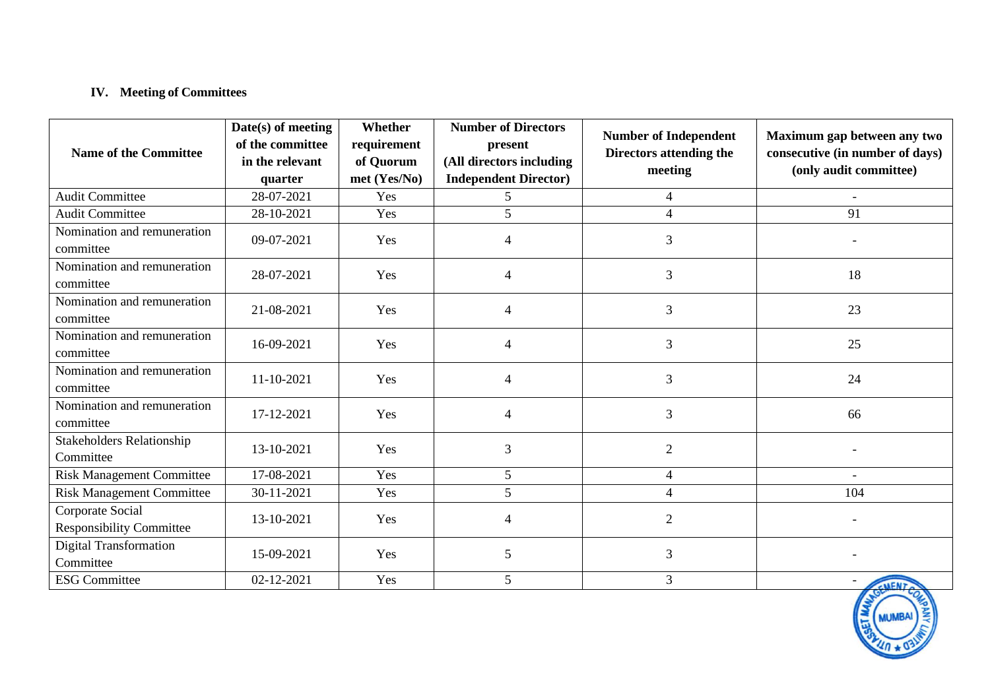# **IV. Meeting of Committees**

| <b>Name of the Committee</b>                        | Date(s) of meeting<br>of the committee<br>in the relevant<br>quarter | Whether<br>requirement<br>of Quorum<br>met (Yes/No) | <b>Number of Directors</b><br>present<br>(All directors including<br><b>Independent Director)</b> | <b>Number of Independent</b><br>Directors attending the<br>meeting | Maximum gap between any two<br>consecutive (in number of days)<br>(only audit committee) |
|-----------------------------------------------------|----------------------------------------------------------------------|-----------------------------------------------------|---------------------------------------------------------------------------------------------------|--------------------------------------------------------------------|------------------------------------------------------------------------------------------|
| <b>Audit Committee</b>                              | 28-07-2021                                                           | Yes                                                 | 5                                                                                                 | $\overline{4}$                                                     | $\overline{\phantom{a}}$                                                                 |
| <b>Audit Committee</b>                              | 28-10-2021                                                           | Yes                                                 | 5                                                                                                 | $\overline{4}$                                                     | 91                                                                                       |
| Nomination and remuneration<br>committee            | 09-07-2021                                                           | Yes                                                 | $\overline{4}$                                                                                    | 3                                                                  |                                                                                          |
| Nomination and remuneration<br>committee            | 28-07-2021                                                           | Yes                                                 | 4                                                                                                 | 3                                                                  | 18                                                                                       |
| Nomination and remuneration<br>committee            | 21-08-2021                                                           | Yes                                                 | $\overline{4}$                                                                                    | 3                                                                  | 23                                                                                       |
| Nomination and remuneration<br>committee            | 16-09-2021                                                           | Yes                                                 | $\overline{4}$                                                                                    | $\mathfrak{Z}$                                                     | 25                                                                                       |
| Nomination and remuneration<br>committee            | 11-10-2021                                                           | Yes                                                 | 4                                                                                                 | 3                                                                  | 24                                                                                       |
| Nomination and remuneration<br>committee            | 17-12-2021                                                           | Yes                                                 | $\overline{4}$                                                                                    | 3                                                                  | 66                                                                                       |
| <b>Stakeholders Relationship</b><br>Committee       | 13-10-2021                                                           | Yes                                                 | 3                                                                                                 | $\overline{2}$                                                     |                                                                                          |
| <b>Risk Management Committee</b>                    | 17-08-2021                                                           | Yes                                                 | 5                                                                                                 | $\overline{4}$                                                     | $\blacksquare$                                                                           |
| <b>Risk Management Committee</b>                    | 30-11-2021                                                           | Yes                                                 | 5                                                                                                 | $\overline{4}$                                                     | 104                                                                                      |
| Corporate Social<br><b>Responsibility Committee</b> | 13-10-2021                                                           | Yes                                                 | $\overline{4}$                                                                                    | $\overline{2}$                                                     |                                                                                          |
| <b>Digital Transformation</b><br>Committee          | 15-09-2021                                                           | Yes                                                 | $5\overline{)}$                                                                                   | 3                                                                  |                                                                                          |
| <b>ESG Committee</b>                                | 02-12-2021                                                           | Yes                                                 | 5                                                                                                 | 3                                                                  | CMENT                                                                                    |